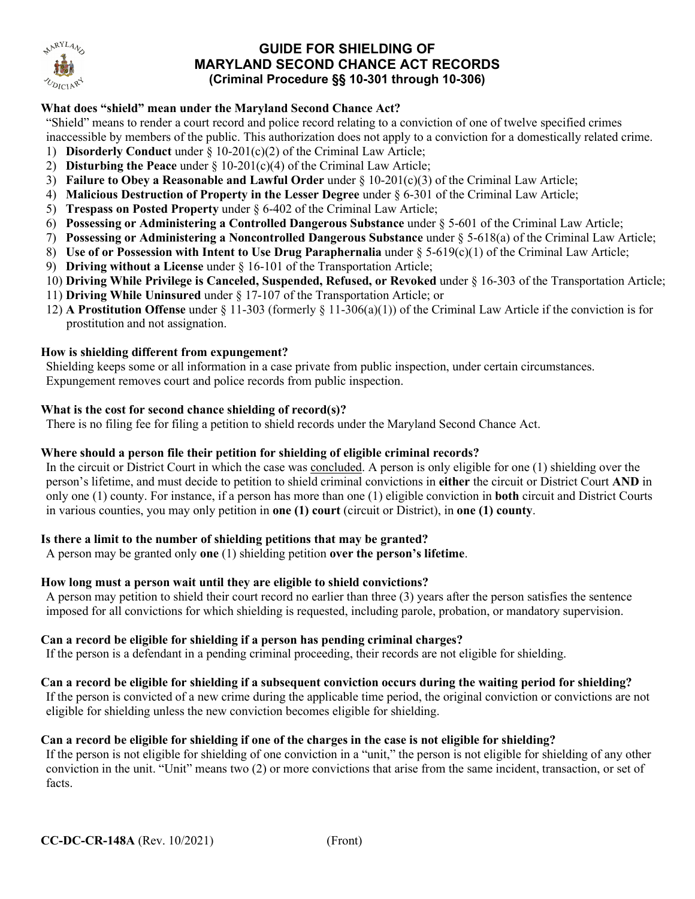

# **GUIDE FOR SHIELDING OF MARYLAND SECOND CHANCE ACT RECORDS (Criminal Procedure §§ 10-301 through 10-306)**

## **What does "shield" mean under the Maryland Second Chance Act?**

"Shield" means to render a court record and police record relating to a conviction of one of twelve specified crimes inaccessible by members of the public. This authorization does not apply to a conviction for a domestically related crime.

- 1) **Disorderly Conduct** under § 10-201(c)(2) of the Criminal Law Article;
- 2) **Disturbing the Peace** under § 10-201(c)(4) of the Criminal Law Article;
- 3) **Failure to Obey a Reasonable and Lawful Order** under § 10-201(c)(3) of the Criminal Law Article;
- 4) **Malicious Destruction of Property in the Lesser Degree** under § 6-301 of the Criminal Law Article;
- 5) **Trespass on Posted Property** under § 6-402 of the Criminal Law Article;
- 6) **Possessing or Administering a Controlled Dangerous Substance** under § 5-601 of the Criminal Law Article;
- 7) **Possessing or Administering a Noncontrolled Dangerous Substance** under § 5-618(a) of the Criminal Law Article;
- 8) **Use of or Possession with Intent to Use Drug Paraphernalia** under § 5-619(c)(1) of the Criminal Law Article;
- 9) **Driving without a License** under § 16-101 of the Transportation Article;
- 10) **Driving While Privilege is Canceled, Suspended, Refused, or Revoked** under § 16-303 of the Transportation Article;
- 11) **Driving While Uninsured** under § 17-107 of the Transportation Article; or
- 12) **A Prostitution Offense** under § 11-303 (formerly § 11-306(a)(1)) of the Criminal Law Article if the conviction is for prostitution and not assignation.

#### **How is shielding different from expungement?**

Shielding keeps some or all information in a case private from public inspection, under certain circumstances. Expungement removes court and police records from public inspection.

#### **What is the cost for second chance shielding of record(s)?**

There is no filing fee for filing a petition to shield records under the Maryland Second Chance Act.

### **Where should a person file their petition for shielding of eligible criminal records?**

In the circuit or District Court in which the case was concluded. A person is only eligible for one (1) shielding over the person's lifetime, and must decide to petition to shield criminal convictions in **either** the circuit or District Court **AND** in only one (1) county. For instance, if a person has more than one (1) eligible conviction in **both** circuit and District Courts in various counties, you may only petition in **one (1) court** (circuit or District), in **one (1) county**.

#### **Is there a limit to the number of shielding petitions that may be granted?**

A person may be granted only **one** (1) shielding petition **over the person's lifetime**.

#### **How long must a person wait until they are eligible to shield convictions?**

A person may petition to shield their court record no earlier than three (3) years after the person satisfies the sentence imposed for all convictions for which shielding is requested, including parole, probation, or mandatory supervision.

#### **Can a record be eligible for shielding if a person has pending criminal charges?**

If the person is a defendant in a pending criminal proceeding, their records are not eligible for shielding.

#### **Can a record be eligible for shielding if a subsequent conviction occurs during the waiting period for shielding?**

If the person is convicted of a new crime during the applicable time period, the original conviction or convictions are not eligible for shielding unless the new conviction becomes eligible for shielding.

#### **Can a record be eligible for shielding if one of the charges in the case is not eligible for shielding?**

If the person is not eligible for shielding of one conviction in a "unit," the person is not eligible for shielding of any other conviction in the unit. "Unit" means two (2) or more convictions that arise from the same incident, transaction, or set of facts.